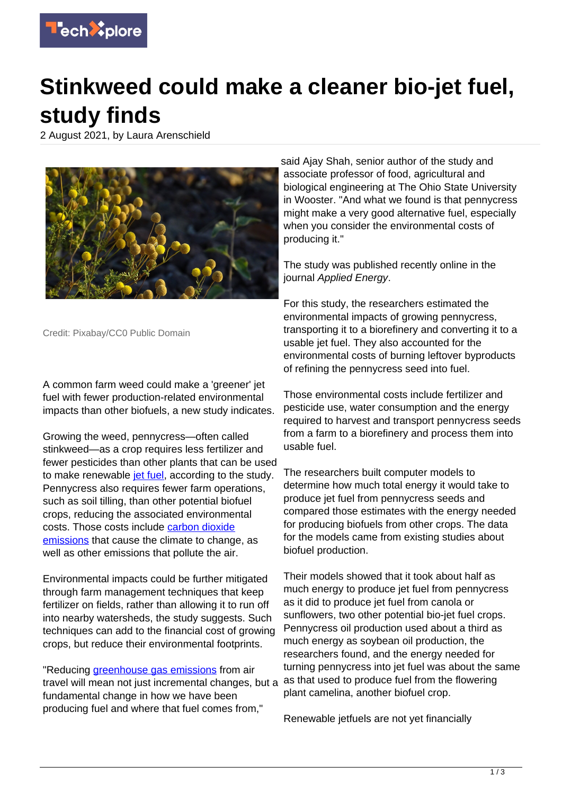

## **Stinkweed could make a cleaner bio-jet fuel, study finds**

2 August 2021, by Laura Arenschield



Credit: Pixabay/CC0 Public Domain

A common farm weed could make a 'greener' jet fuel with fewer production-related environmental impacts than other biofuels, a new study indicates.

Growing the weed, pennycress—often called stinkweed—as a crop requires less fertilizer and fewer pesticides than other plants that can be used to make renewable [jet fuel,](https://techxplore.com/tags/jet+fuel/) according to the study. Pennycress also requires fewer farm operations, such as soil tilling, than other potential biofuel crops, reducing the associated environmental costs. Those costs include [carbon dioxide](https://techxplore.com/tags/carbon+dioxide+emissions/) [emissions](https://techxplore.com/tags/carbon+dioxide+emissions/) that cause the climate to change, as well as other emissions that pollute the air.

Environmental impacts could be further mitigated through farm management techniques that keep fertilizer on fields, rather than allowing it to run off into nearby watersheds, the study suggests. Such techniques can add to the financial cost of growing crops, but reduce their environmental footprints.

"Reducing [greenhouse gas emissions](https://techxplore.com/tags/greenhouse+gas+emissions/) from air travel will mean not just incremental changes, but a fundamental change in how we have been producing fuel and where that fuel comes from,"

said Ajay Shah, senior author of the study and associate professor of food, agricultural and biological engineering at The Ohio State University in Wooster. "And what we found is that pennycress might make a very good alternative fuel, especially when you consider the environmental costs of producing it."

The study was published recently online in the journal Applied Energy.

For this study, the researchers estimated the environmental impacts of growing pennycress, transporting it to a biorefinery and converting it to a usable jet fuel. They also accounted for the environmental costs of burning leftover byproducts of refining the pennycress seed into fuel.

Those environmental costs include fertilizer and pesticide use, water consumption and the energy required to harvest and transport pennycress seeds from a farm to a biorefinery and process them into usable fuel.

The researchers built computer models to determine how much total energy it would take to produce jet fuel from pennycress seeds and compared those estimates with the energy needed for producing biofuels from other crops. The data for the models came from existing studies about biofuel production.

Their models showed that it took about half as much energy to produce jet fuel from pennycress as it did to produce jet fuel from canola or sunflowers, two other potential bio-jet fuel crops. Pennycress oil production used about a third as much energy as soybean oil production, the researchers found, and the energy needed for turning pennycress into jet fuel was about the same as that used to produce fuel from the flowering plant camelina, another biofuel crop.

Renewable jetfuels are not yet financially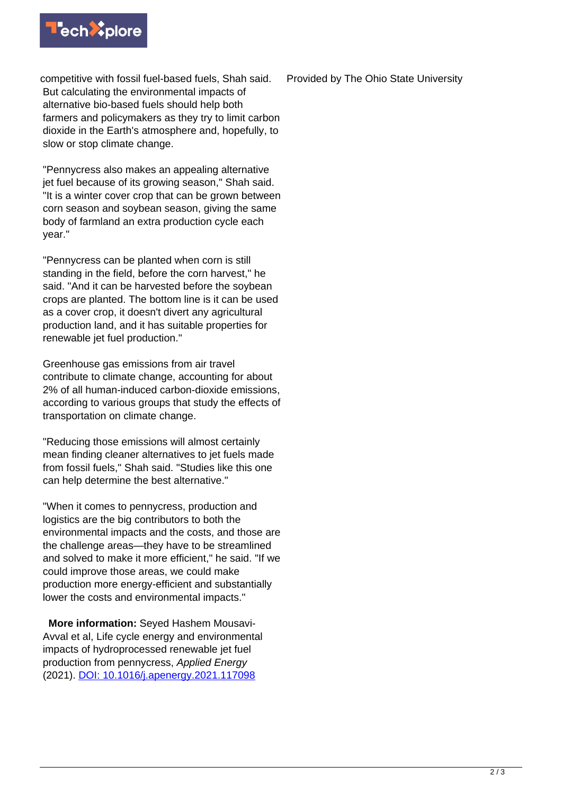

competitive with fossil fuel-based fuels, Shah said. But calculating the environmental impacts of alternative bio-based fuels should help both farmers and policymakers as they try to limit carbon dioxide in the Earth's atmosphere and, hopefully, to slow or stop climate change.

"Pennycress also makes an appealing alternative jet fuel because of its growing season," Shah said. "It is a winter cover crop that can be grown between corn season and soybean season, giving the same body of farmland an extra production cycle each year."

"Pennycress can be planted when corn is still standing in the field, before the corn harvest," he said. "And it can be harvested before the soybean crops are planted. The bottom line is it can be used as a cover crop, it doesn't divert any agricultural production land, and it has suitable properties for renewable jet fuel production."

Greenhouse gas emissions from air travel contribute to climate change, accounting for about 2% of all human-induced carbon-dioxide emissions, according to various groups that study the effects of transportation on climate change.

"Reducing those emissions will almost certainly mean finding cleaner alternatives to jet fuels made from fossil fuels," Shah said. "Studies like this one can help determine the best alternative."

"When it comes to pennycress, production and logistics are the big contributors to both the environmental impacts and the costs, and those are the challenge areas—they have to be streamlined and solved to make it more efficient," he said. "If we could improve those areas, we could make production more energy-efficient and substantially lower the costs and environmental impacts."

 **More information:** Seyed Hashem Mousavi-Avval et al, Life cycle energy and environmental impacts of hydroprocessed renewable jet fuel production from pennycress, Applied Energy (2021). [DOI: 10.1016/j.apenergy.2021.117098](http://dx.doi.org/10.1016/j.apenergy.2021.117098)

Provided by The Ohio State University